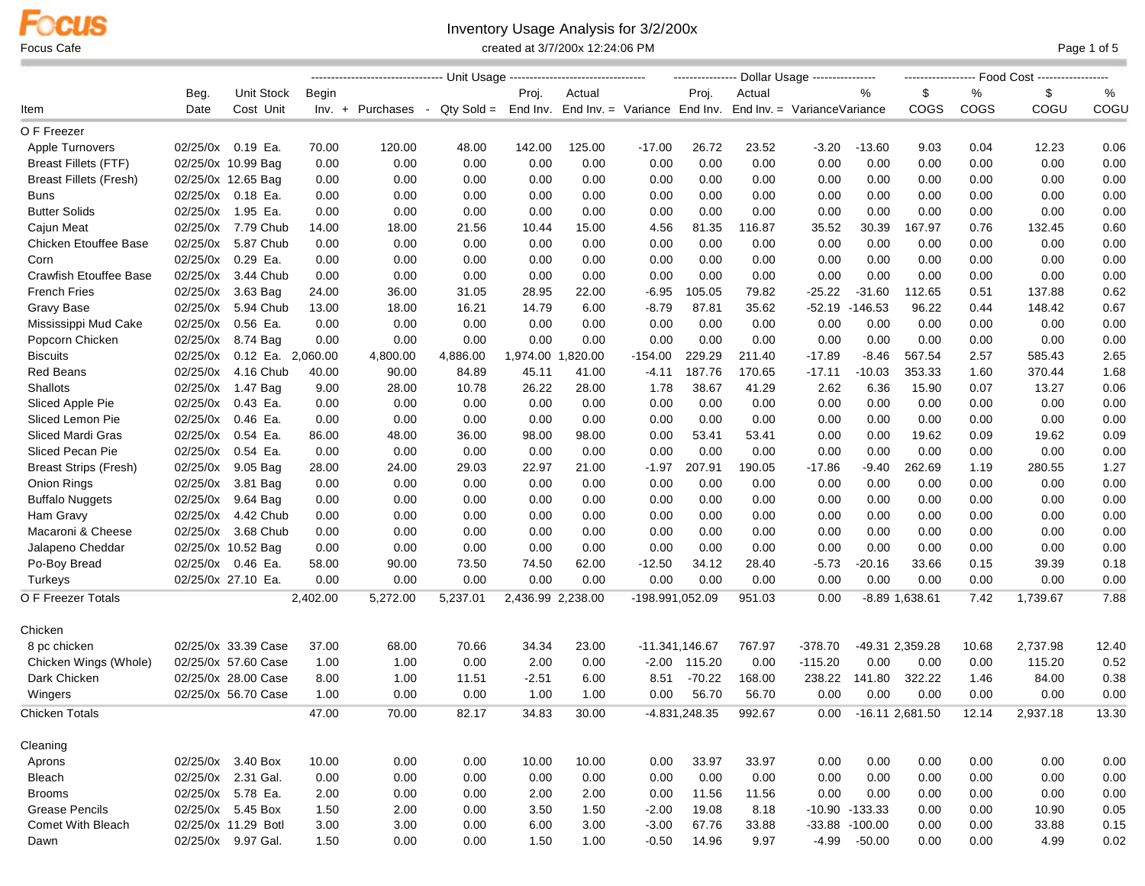## Inventory Usage Analysis for 3/2/200x

Focus Cafe **Cafe** Page 1 of 5

|                               |          |                     |          | --------------------------------- Unit Usaqe ----------------------------------- |          |                   |                   |           |                   | ---------------- Dollar Usage ----------------                                  |           |                   |                   |       |          |       |
|-------------------------------|----------|---------------------|----------|----------------------------------------------------------------------------------|----------|-------------------|-------------------|-----------|-------------------|---------------------------------------------------------------------------------|-----------|-------------------|-------------------|-------|----------|-------|
|                               | Beg.     | Unit Stock          | Begin    |                                                                                  |          | Proj.             | Actual            |           | Proj.             | Actual                                                                          |           | %                 | \$                | %     | \$       | %     |
| Item                          | Date     | Cost Unit           |          | Inv. + Purchases                                                                 | $\sim$   |                   |                   |           |                   | $Qty Sold = End Inv.$ End Inv. = Variance End Inv. End Inv. = Variance Variance |           |                   | <b>COGS</b>       | COGS  | COGU     | COGU  |
| O F Freezer                   |          |                     |          |                                                                                  |          |                   |                   |           |                   |                                                                                 |           |                   |                   |       |          |       |
| Apple Turnovers               |          | 02/25/0x 0.19 Ea.   | 70.00    | 120.00                                                                           | 48.00    | 142.00            | 125.00            | $-17.00$  | 26.72             | 23.52                                                                           | $-3.20$   | $-13.60$          | 9.03              | 0.04  | 12.23    | 0.06  |
| <b>Breast Fillets (FTF)</b>   |          | 02/25/0x 10.99 Bag  | 0.00     | 0.00                                                                             | 0.00     | 0.00              | 0.00              | 0.00      | 0.00              | 0.00                                                                            | 0.00      | 0.00              | 0.00              | 0.00  | 0.00     | 0.00  |
| <b>Breast Fillets (Fresh)</b> |          | 02/25/0x 12.65 Bag  | 0.00     | 0.00                                                                             | 0.00     | 0.00              | 0.00              | 0.00      | 0.00              | 0.00                                                                            | 0.00      | 0.00              | 0.00              | 0.00  | 0.00     | 0.00  |
| <b>Buns</b>                   |          | 02/25/0x 0.18 Ea.   | 0.00     | 0.00                                                                             | 0.00     | 0.00              | 0.00              | 0.00      | 0.00              | 0.00                                                                            | 0.00      | 0.00              | 0.00              | 0.00  | 0.00     | 0.00  |
| <b>Butter Solids</b>          | 02/25/0x | 1.95 Ea.            | 0.00     | 0.00                                                                             | 0.00     | 0.00              | 0.00              | 0.00      | 0.00              | 0.00                                                                            | 0.00      | 0.00              | 0.00              | 0.00  | 0.00     | 0.00  |
| Cajun Meat                    | 02/25/0x | 7.79 Chub           | 14.00    | 18.00                                                                            | 21.56    | 10.44             | 15.00             | 4.56      | 81.35             | 116.87                                                                          | 35.52     | 30.39             | 167.97            | 0.76  | 132.45   | 0.60  |
| <b>Chicken Etouffee Base</b>  | 02/25/0x | 5.87 Chub           | 0.00     | 0.00                                                                             | 0.00     | 0.00              | 0.00              | 0.00      | 0.00              | 0.00                                                                            | 0.00      | 0.00              | 0.00              | 0.00  | 0.00     | 0.00  |
| Corn                          | 02/25/0x | 0.29 Ea.            | 0.00     | 0.00                                                                             | 0.00     | 0.00              | 0.00              | 0.00      | 0.00              | 0.00                                                                            | 0.00      | 0.00              | 0.00              | 0.00  | 0.00     | 0.00  |
| <b>Crawfish Etouffee Base</b> | 02/25/0x | 3.44 Chub           | 0.00     | 0.00                                                                             | 0.00     | 0.00              | 0.00              | 0.00      | 0.00              | 0.00                                                                            | 0.00      | 0.00              | 0.00              | 0.00  | 0.00     | 0.00  |
| <b>French Fries</b>           |          | 02/25/0x 3.63 Bag   | 24.00    | 36.00                                                                            | 31.05    | 28.95             | 22.00             | $-6.95$   | 105.05            | 79.82                                                                           | $-25.22$  | $-31.60$          | 112.65            | 0.51  | 137.88   | 0.62  |
| Gravy Base                    |          | 02/25/0x 5.94 Chub  | 13.00    | 18.00                                                                            | 16.21    | 14.79             | 6.00              | $-8.79$   | 87.81             | 35.62                                                                           | $-52.19$  | $-146.53$         | 96.22             | 0.44  | 148.42   | 0.67  |
| Mississippi Mud Cake          | 02/25/0x | 0.56 Ea.            | 0.00     | 0.00                                                                             | 0.00     | 0.00              | 0.00              | 0.00      | 0.00              | 0.00                                                                            | 0.00      | 0.00              | 0.00              | 0.00  | 0.00     | 0.00  |
| Popcorn Chicken               | 02/25/0x | 8.74 Bag            | 0.00     | 0.00                                                                             | 0.00     | 0.00              | 0.00              | 0.00      | 0.00              | 0.00                                                                            | 0.00      | 0.00              | 0.00              | 0.00  | 0.00     | 0.00  |
| <b>Biscuits</b>               | 02/25/0x | 0.12 Ea. 2,060.00   |          | 4,800.00                                                                         | 4,886.00 |                   | 1,974.00 1,820.00 | $-154.00$ | 229.29            | 211.40                                                                          | $-17.89$  | $-8.46$           | 567.54            | 2.57  | 585.43   | 2.65  |
| <b>Red Beans</b>              | 02/25/0x | 4.16 Chub           | 40.00    | 90.00                                                                            | 84.89    | 45.11             | 41.00             | $-4.11$   | 187.76            | 170.65                                                                          | $-17.11$  | $-10.03$          | 353.33            | 1.60  | 370.44   | 1.68  |
| Shallots                      |          | 02/25/0x 1.47 Bag   | 9.00     | 28.00                                                                            | 10.78    | 26.22             | 28.00             | 1.78      | 38.67             | 41.29                                                                           | 2.62      | 6.36              | 15.90             | 0.07  | 13.27    | 0.06  |
| Sliced Apple Pie              |          | 02/25/0x 0.43 Ea.   | 0.00     | 0.00                                                                             | 0.00     | 0.00              | 0.00              | 0.00      | 0.00              | 0.00                                                                            | 0.00      | 0.00              | 0.00              | 0.00  | 0.00     | 0.00  |
| Sliced Lemon Pie              | 02/25/0x | 0.46 Ea.            | 0.00     | 0.00                                                                             | 0.00     | 0.00              | 0.00              | 0.00      | 0.00              | 0.00                                                                            | 0.00      | 0.00              | 0.00              | 0.00  | 0.00     | 0.00  |
| Sliced Mardi Gras             |          | 02/25/0x 0.54 Ea.   | 86.00    | 48.00                                                                            | 36.00    | 98.00             | 98.00             | 0.00      | 53.41             | 53.41                                                                           | 0.00      | 0.00              | 19.62             | 0.09  | 19.62    | 0.09  |
| Sliced Pecan Pie              | 02/25/0x | 0.54 Ea.            | 0.00     | 0.00                                                                             | 0.00     | 0.00              | 0.00              | 0.00      | 0.00              | 0.00                                                                            | 0.00      | 0.00              | 0.00              | 0.00  | 0.00     | 0.00  |
| <b>Breast Strips (Fresh)</b>  | 02/25/0x | 9.05 Bag            | 28.00    | 24.00                                                                            | 29.03    | 22.97             | 21.00             | $-1.97$   | 207.91            | 190.05                                                                          | $-17.86$  | $-9.40$           | 262.69            | 1.19  | 280.55   | 1.27  |
| <b>Onion Rings</b>            |          | 02/25/0x 3.81 Bag   | 0.00     | 0.00                                                                             | 0.00     | 0.00              | 0.00              | 0.00      | 0.00              | 0.00                                                                            | 0.00      | 0.00              | 0.00              | 0.00  | 0.00     | 0.00  |
| <b>Buffalo Nuggets</b>        |          | 02/25/0x 9.64 Bag   | 0.00     | 0.00                                                                             | 0.00     | 0.00              | 0.00              | 0.00      | 0.00              | 0.00                                                                            | 0.00      | 0.00              | 0.00              | 0.00  | 0.00     | 0.00  |
| Ham Gravy                     | 02/25/0x | 4.42 Chub           | 0.00     | 0.00                                                                             | 0.00     | 0.00              | 0.00              | 0.00      | 0.00              | 0.00                                                                            | 0.00      | 0.00              | 0.00              | 0.00  | 0.00     | 0.00  |
| Macaroni & Cheese             |          | 02/25/0x 3.68 Chub  | 0.00     | 0.00                                                                             | 0.00     | 0.00              | 0.00              | 0.00      | 0.00              | 0.00                                                                            | 0.00      | 0.00              | 0.00              | 0.00  | 0.00     | 0.00  |
| Jalapeno Cheddar              |          | 02/25/0x 10.52 Bag  | 0.00     | 0.00                                                                             | 0.00     | 0.00              | 0.00              | 0.00      | 0.00              | 0.00                                                                            | 0.00      | 0.00              | 0.00              | 0.00  | 0.00     | 0.00  |
| Po-Boy Bread                  |          | 02/25/0x 0.46 Ea.   | 58.00    | 90.00                                                                            | 73.50    | 74.50             | 62.00             | $-12.50$  | 34.12             | 28.40                                                                           | $-5.73$   | $-20.16$          | 33.66             | 0.15  | 39.39    | 0.18  |
| Turkeys                       |          | 02/25/0x 27.10 Ea.  | 0.00     | 0.00                                                                             | 0.00     | 0.00              | 0.00              | 0.00      | 0.00              | 0.00                                                                            | 0.00      | 0.00              | 0.00              | 0.00  | 0.00     | 0.00  |
| O F Freezer Totals            |          |                     | 2,402.00 | 5,272.00                                                                         | 5,237.01 | 2,436.99 2,238.00 |                   |           | -198.991,052.09   | 951.03                                                                          | 0.00      |                   | $-8.89$ 1,638.61  | 7.42  | 1,739.67 | 7.88  |
| Chicken                       |          |                     |          |                                                                                  |          |                   |                   |           |                   |                                                                                 |           |                   |                   |       |          |       |
| 8 pc chicken                  |          | 02/25/0x 33.39 Case | 37.00    | 68.00                                                                            | 70.66    | 34.34             | 23.00             |           | $-11.341, 146.67$ | 767.97                                                                          | $-378.70$ |                   | -49.31 2,359.28   | 10.68 | 2,737.98 | 12.40 |
| Chicken Wings (Whole)         |          | 02/25/0x 57.60 Case | 1.00     | 1.00                                                                             | 0.00     | 2.00              | 0.00              | $-2.00$   | 115.20            | 0.00                                                                            | $-115.20$ | 0.00              | 0.00              | 0.00  | 115.20   | 0.52  |
| Dark Chicken                  |          | 02/25/0x 28.00 Case | 8.00     | 1.00                                                                             | 11.51    | $-2.51$           | 6.00              | 8.51      | $-70.22$          | 168.00                                                                          | 238.22    | 141.80            | 322.22            | 1.46  | 84.00    | 0.38  |
| Wingers                       |          | 02/25/0x 56.70 Case | 1.00     | 0.00                                                                             | 0.00     | 1.00              | 1.00              | 0.00      | 56.70             | 56.70                                                                           | 0.00      | 0.00              | 0.00              | 0.00  | 0.00     | 0.00  |
| Chicken Totals                |          |                     | 47.00    | 70.00                                                                            | 82.17    | 34.83             | 30.00             |           | $-4.831,248.35$   | 992.67                                                                          | 0.00      |                   | $-16.11$ 2,681.50 | 12.14 | 2,937.18 | 13.30 |
| Cleaning                      |          |                     |          |                                                                                  |          |                   |                   |           |                   |                                                                                 |           |                   |                   |       |          |       |
| Aprons                        |          | 02/25/0x 3.40 Box   | 10.00    | 0.00                                                                             | 0.00     | 10.00             | 10.00             | 0.00      | 33.97             | 33.97                                                                           | 0.00      | 0.00              | 0.00              | 0.00  | 0.00     | 0.00  |
| Bleach                        |          | 02/25/0x 2.31 Gal.  | 0.00     | 0.00                                                                             | 0.00     | 0.00              | 0.00              | 0.00      | 0.00              | 0.00                                                                            | 0.00      | 0.00              | 0.00              | 0.00  | 0.00     | 0.00  |
| <b>Brooms</b>                 |          | 02/25/0x 5.78 Ea.   | 2.00     | 0.00                                                                             | 0.00     | 2.00              | 2.00              | 0.00      | 11.56             | 11.56                                                                           | 0.00      | 0.00              | 0.00              | 0.00  | 0.00     | 0.00  |
| <b>Grease Pencils</b>         |          | 02/25/0x 5.45 Box   | 1.50     | 2.00                                                                             | 0.00     | 3.50              | 1.50              | $-2.00$   | 19.08             | 8.18                                                                            |           | $-10.90 - 133.33$ | 0.00              | 0.00  | 10.90    | 0.05  |
| <b>Comet With Bleach</b>      |          | 02/25/0x 11.29 Botl | 3.00     | 3.00                                                                             | 0.00     | 6.00              | 3.00              | $-3.00$   | 67.76             | 33.88                                                                           |           | $-33.88 - 100.00$ | 0.00              | 0.00  | 33.88    | 0.15  |
| Dawn                          |          | 02/25/0x 9.97 Gal.  | 1.50     | 0.00                                                                             | 0.00     | 1.50              | 1.00              | $-0.50$   | 14.96             | 9.97                                                                            |           | $-4.99 - 50.00$   | 0.00              | 0.00  | 4.99     | 0.02  |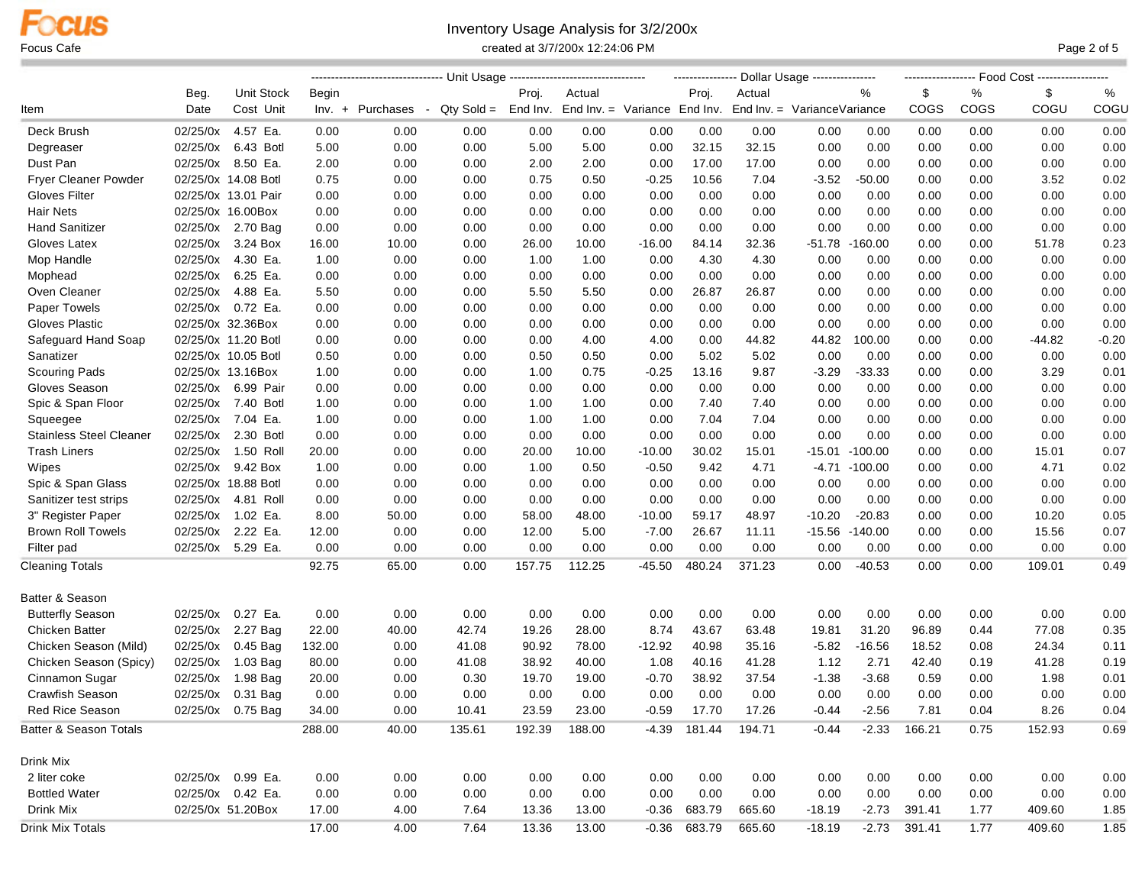### Inventory Usage Analysis for 3/2/200x Focus Cafe **Cafe Example 2 of 5 Created at 3/7/200x 12:24:06 PM Page 2 of 5 PM Page 2 of 5**

|                                |          |                      |        |                  |                         |        |                                       |          |                     | ---------------- Dollar Usage ---------------- |          |           |                |      |          |         |
|--------------------------------|----------|----------------------|--------|------------------|-------------------------|--------|---------------------------------------|----------|---------------------|------------------------------------------------|----------|-----------|----------------|------|----------|---------|
|                                | Beg.     | Unit Stock           | Begin  |                  |                         | Proj.  | Actual                                |          | Proj.               | Actual                                         |          | %         | \$             | %    | \$       | %       |
| ltem                           | Date     | Cost Unit            |        | Inv. + Purchases | $Q$ ty Sold =<br>$\sim$ |        | End Inv. End Inv. = Variance End Inv. |          |                     | End Inv. = VarianceVariance                    |          |           | COGS           | COGS | COGU     | COGU    |
| Deck Brush                     | 02/25/0x | 4.57 Ea.             | 0.00   | 0.00             | 0.00                    | 0.00   | 0.00                                  | 0.00     | 0.00                | 0.00                                           | 0.00     | 0.00      | 0.00           | 0.00 | 0.00     | 0.00    |
| Degreaser                      | 02/25/0x | 6.43 Botl            | 5.00   | 0.00             | 0.00                    | 5.00   | 5.00                                  | 0.00     | 32.15               | 32.15                                          | 0.00     | 0.00      | 0.00           | 0.00 | 0.00     | 0.00    |
| Dust Pan                       | 02/25/0x | 8.50 Ea.             | 2.00   | 0.00             | 0.00                    | 2.00   | 2.00                                  | 0.00     | 17.00               | 17.00                                          | 0.00     | 0.00      | 0.00           | 0.00 | 0.00     | 0.00    |
| Fryer Cleaner Powder           |          | 02/25/0x 14.08 Botl  | 0.75   | 0.00             | 0.00                    | 0.75   | 0.50                                  | $-0.25$  | 10.56               | 7.04                                           | $-3.52$  | $-50.00$  | 0.00           | 0.00 | 3.52     | 0.02    |
| Gloves Filter                  |          | 02/25/0x 13.01 Pair  | 0.00   | 0.00             | 0.00                    | 0.00   | 0.00                                  | 0.00     | 0.00                | 0.00                                           | 0.00     | 0.00      | 0.00           | 0.00 | 0.00     | 0.00    |
| <b>Hair Nets</b>               |          | 02/25/0x 16.00Box    | 0.00   | 0.00             | 0.00                    | 0.00   | 0.00                                  | 0.00     | 0.00                | 0.00                                           | 0.00     | 0.00      | 0.00           | 0.00 | 0.00     | 0.00    |
| <b>Hand Sanitizer</b>          |          | 02/25/0x 2.70 Bag    | 0.00   | 0.00             | 0.00                    | 0.00   | 0.00                                  | 0.00     | 0.00                | 0.00                                           | 0.00     | 0.00      | 0.00           | 0.00 | 0.00     | 0.00    |
| Gloves Latex                   | 02/25/0x | 3.24 Box             | 16.00  | 10.00            | 0.00                    | 26.00  | 10.00                                 | $-16.00$ | 84.14               | 32.36                                          | -51.78   | $-160.00$ | 0.00           | 0.00 | 51.78    | 0.23    |
| Mop Handle                     | 02/25/0x | 4.30 Ea.             | 1.00   | 0.00             | 0.00                    | 1.00   | 1.00                                  | 0.00     | 4.30                | 4.30                                           | 0.00     | 0.00      | 0.00           | 0.00 | 0.00     | 0.00    |
| Mophead                        | 02/25/0x | 6.25 Ea.             | 0.00   | 0.00             | 0.00                    | 0.00   | 0.00                                  | 0.00     | 0.00                | 0.00                                           | 0.00     | 0.00      | 0.00           | 0.00 | 0.00     | 0.00    |
| Oven Cleaner                   |          | 02/25/0x 4.88 Ea.    | 5.50   | 0.00             | 0.00                    | 5.50   | 5.50                                  | 0.00     | 26.87               | 26.87                                          | 0.00     | 0.00      | 0.00           | 0.00 | 0.00     | 0.00    |
| Paper Towels                   |          | 02/25/0x 0.72 Ea.    | 0.00   | 0.00             | 0.00                    | 0.00   | 0.00                                  | 0.00     | 0.00                | 0.00                                           | 0.00     | 0.00      | 0.00           | 0.00 | 0.00     | 0.00    |
| Gloves Plastic                 |          | 02/25/0x 32.36Box    | 0.00   | 0.00             | 0.00                    | 0.00   | 0.00                                  | 0.00     | 0.00                | 0.00                                           | 0.00     | 0.00      | 0.00           | 0.00 | 0.00     | 0.00    |
| Safeguard Hand Soap            |          | 02/25/0x 11.20 Botl  | 0.00   | 0.00             | 0.00                    | 0.00   | 4.00                                  | 4.00     | 0.00                | 44.82                                          | 44.82    | 100.00    | 0.00           | 0.00 | $-44.82$ | $-0.20$ |
| Sanatizer                      |          | 02/25/0x 10.05 Botl  | 0.50   | 0.00             | 0.00                    | 0.50   | 0.50                                  | 0.00     | 5.02                | 5.02                                           | 0.00     | 0.00      | 0.00           | 0.00 | 0.00     | 0.00    |
| <b>Scouring Pads</b>           |          | 02/25/0x 13.16Box    | 1.00   | 0.00             | 0.00                    | 1.00   | 0.75                                  | $-0.25$  | 13.16               | 9.87                                           | $-3.29$  | $-33.33$  | 0.00           | 0.00 | 3.29     | 0.01    |
| Gloves Season                  |          | 02/25/0x 6.99 Pair   | 0.00   | 0.00             | 0.00                    | 0.00   | 0.00                                  | 0.00     | 0.00                | 0.00                                           | 0.00     | 0.00      | 0.00           | 0.00 | 0.00     | 0.00    |
| Spic & Span Floor              |          | 02/25/0x 7.40 Botl   | 1.00   | 0.00             | 0.00                    | 1.00   | 1.00                                  | 0.00     | 7.40                | 7.40                                           | 0.00     | 0.00      | 0.00           | 0.00 | 0.00     | 0.00    |
| Squeegee                       | 02/25/0x | 7.04 Ea.             | 1.00   | 0.00             | 0.00                    | 1.00   | 1.00                                  | 0.00     | 7.04                | 7.04                                           | 0.00     | 0.00      | 0.00           | 0.00 | 0.00     | 0.00    |
| <b>Stainless Steel Cleaner</b> | 02/25/0x | 2.30 Botl            | 0.00   | 0.00             | 0.00                    | 0.00   | 0.00                                  | 0.00     | 0.00                | 0.00                                           | 0.00     | 0.00      | 0.00           | 0.00 | 0.00     | 0.00    |
| <b>Trash Liners</b>            |          | 02/25/0x 1.50 Roll   | 20.00  | 0.00             | 0.00                    | 20.00  | 10.00                                 | $-10.00$ | 30.02               | 15.01                                          | $-15.01$ | $-100.00$ | 0.00           | 0.00 | 15.01    | 0.07    |
| Wipes                          | 02/25/0x | 9.42 Box             | 1.00   | 0.00             | 0.00                    | 1.00   | 0.50                                  | $-0.50$  | 9.42                | 4.71                                           | -4.71    | $-100.00$ | 0.00           | 0.00 | 4.71     | 0.02    |
| Spic & Span Glass              |          | 02/25/0x 18.88 Botl  | 0.00   | 0.00             | 0.00                    | 0.00   | 0.00                                  | 0.00     | 0.00                | 0.00                                           | 0.00     | 0.00      | 0.00           | 0.00 | 0.00     | 0.00    |
| Sanitizer test strips          |          | 02/25/0x  4.81  Roll | 0.00   | 0.00             | 0.00                    | 0.00   | 0.00                                  | 0.00     | 0.00                | 0.00                                           | 0.00     | 0.00      | 0.00           | 0.00 | 0.00     | 0.00    |
| 3" Register Paper              | 02/25/0x | 1.02 Ea.             | 8.00   | 50.00            | 0.00                    | 58.00  | 48.00                                 | $-10.00$ | 59.17               | 48.97                                          | $-10.20$ | $-20.83$  | 0.00           | 0.00 | 10.20    | 0.05    |
| <b>Brown Roll Towels</b>       | 02/25/0x | 2.22 Ea.             | 12.00  | 0.00             | 0.00                    | 12.00  | 5.00                                  | $-7.00$  | 26.67               | 11.11                                          | $-15.56$ | $-140.00$ | 0.00           | 0.00 | 15.56    | 0.07    |
| Filter pad                     |          | 02/25/0x 5.29 Ea.    | 0.00   | 0.00             | 0.00                    | 0.00   | 0.00                                  | 0.00     | 0.00                | 0.00                                           | 0.00     | 0.00      | 0.00           | 0.00 | 0.00     | 0.00    |
| Cleaning Totals                |          |                      | 92.75  | 65.00            | 0.00                    | 157.75 | 112.25                                | $-45.50$ | 480.24              | 371.23                                         | 0.00     | $-40.53$  | 0.00           | 0.00 | 109.01   | 0.49    |
| Batter & Season                |          |                      |        |                  |                         |        |                                       |          |                     |                                                |          |           |                |      |          |         |
| <b>Butterfly Season</b>        | 02/25/0x | 0.27 Ea.             | 0.00   | 0.00             | 0.00                    | 0.00   | 0.00                                  | 0.00     | 0.00                | 0.00                                           | 0.00     | 0.00      | 0.00           | 0.00 | 0.00     | 0.00    |
| <b>Chicken Batter</b>          |          | 02/25/0x 2.27 Bag    | 22.00  | 40.00            | 42.74                   | 19.26  | 28.00                                 | 8.74     | 43.67               | 63.48                                          | 19.81    | 31.20     | 96.89          | 0.44 | 77.08    | 0.35    |
| Chicken Season (Mild)          | 02/25/0x | 0.45 Bag             | 132.00 | 0.00             | 41.08                   | 90.92  | 78.00                                 | $-12.92$ | 40.98               | 35.16                                          | $-5.82$  | $-16.56$  | 18.52          | 0.08 | 24.34    | 0.11    |
| Chicken Season (Spicy)         | 02/25/0x | 1.03 Bag             | 80.00  | 0.00             | 41.08                   | 38.92  | 40.00                                 | 1.08     | 40.16               | 41.28                                          | 1.12     | 2.71      | 42.40          | 0.19 | 41.28    | 0.19    |
| Cinnamon Sugar                 | 02/25/0x | 1.98 Bag             | 20.00  | 0.00             | 0.30                    | 19.70  | 19.00                                 | $-0.70$  | 38.92               | 37.54                                          | $-1.38$  | $-3.68$   | 0.59           | 0.00 | 1.98     | 0.01    |
| <b>Crawfish Season</b>         | 02/25/0x | 0.31 Bag             | 0.00   | 0.00             | 0.00                    | 0.00   | 0.00                                  | 0.00     | 0.00                | 0.00                                           | 0.00     | 0.00      | 0.00           | 0.00 | 0.00     | 0.00    |
| <b>Red Rice Season</b>         |          | 02/25/0x 0.75 Bag    | 34.00  | 0.00             | 10.41                   | 23.59  | 23.00                                 | $-0.59$  | 17.70               | 17.26                                          | $-0.44$  | $-2.56$   | 7.81           | 0.04 | 8.26     | 0.04    |
| Batter & Season Totals         |          |                      | 288.00 | 40.00            | 135.61                  | 192.39 | 188.00                                |          | -4.39 181.44 194.71 |                                                | $-0.44$  |           | $-2.33$ 166.21 | 0.75 | 152.93   | 0.69    |
| Drink Mix                      |          |                      |        |                  |                         |        |                                       |          |                     |                                                |          |           |                |      |          |         |
| 2 liter coke                   |          | 02/25/0x 0.99 Ea.    | 0.00   | 0.00             | 0.00                    | 0.00   | 0.00                                  | 0.00     | 0.00                | 0.00                                           | 0.00     | 0.00      | 0.00           | 0.00 | 0.00     | 0.00    |
| <b>Bottled Water</b>           |          | 02/25/0x 0.42 Ea.    | 0.00   | 0.00             | 0.00                    | 0.00   | 0.00                                  | 0.00     | 0.00                | 0.00                                           | 0.00     | 0.00      | 0.00           | 0.00 | 0.00     | 0.00    |
| Drink Mix                      |          | 02/25/0x 51.20Box    | 17.00  | 4.00             | 7.64                    | 13.36  | 13.00                                 | $-0.36$  | 683.79              | 665.60                                         | $-18.19$ | $-2.73$   | 391.41         | 1.77 | 409.60   | 1.85    |
| Drink Mix Totals               |          |                      | 17.00  | 4.00             | 7.64                    | 13.36  | 13.00                                 |          | $-0.36$ 683.79      | 665.60                                         | $-18.19$ | $-2.73$   | 391.41         | 1.77 | 409.60   | 1.85    |
|                                |          |                      |        |                  |                         |        |                                       |          |                     |                                                |          |           |                |      |          |         |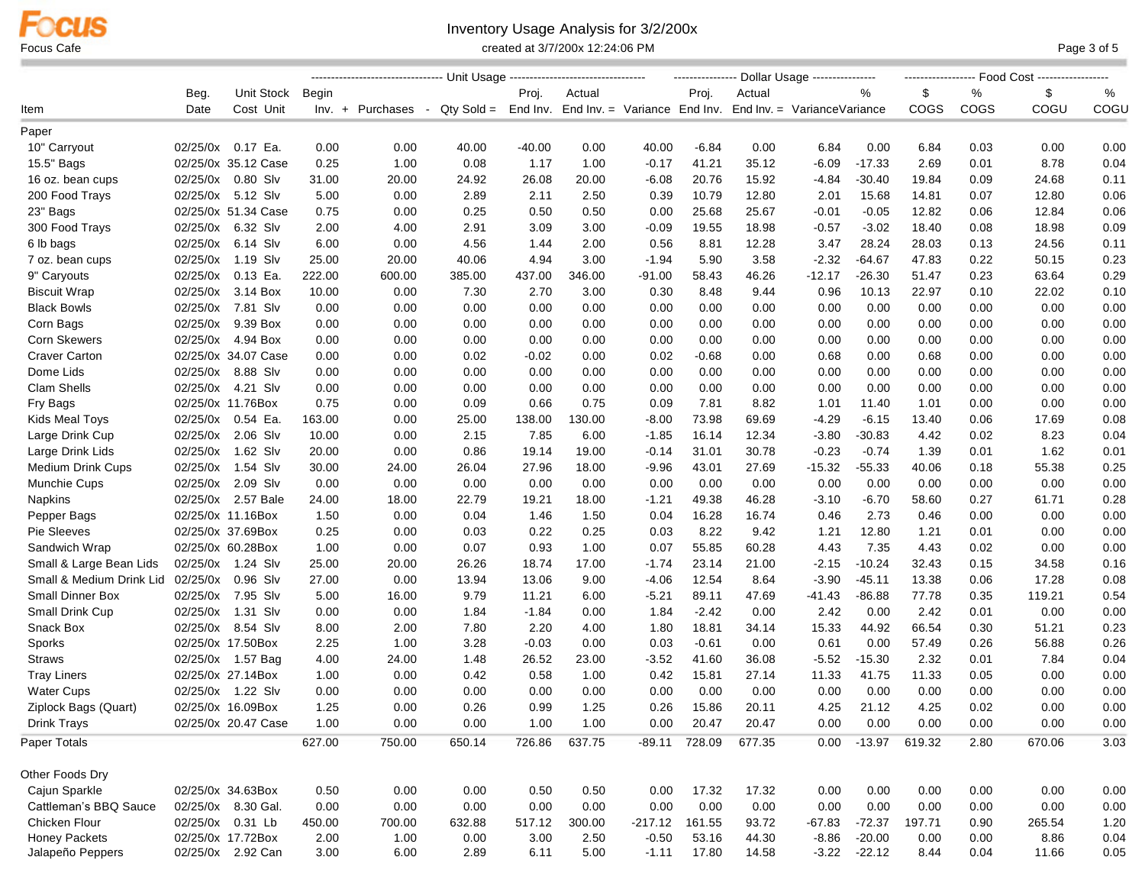# Inventory Usage Analysis for 3/2/200x

Focus Cafe **Cafe** Cafe Cate Care created at 3/7/200x 12:24:06 PM Created at 3/7/200x 12:24:06 PM

|                          |          |                     |        | --------------------------------- Unit Usage ----------------------------------                 |        |          |        |           |         | --------------- Dollar Usage ---------------- |          |                |        |      |        |          |
|--------------------------|----------|---------------------|--------|-------------------------------------------------------------------------------------------------|--------|----------|--------|-----------|---------|-----------------------------------------------|----------|----------------|--------|------|--------|----------|
|                          | Beg.     | Unit Stock          | Begin  |                                                                                                 |        | Proj.    | Actual |           | Proj.   | Actual                                        |          | %              | \$     | %    | \$     | %        |
| ltem                     | Date     | Cost Unit           |        | Inv. + Purchases - Qty Sold = End Inv. End Inv. = Variance End Inv. End Inv. = VarianceVariance |        |          |        |           |         |                                               |          |                | COGS   | COGS | COGU   | COGU     |
| Paper                    |          |                     |        |                                                                                                 |        |          |        |           |         |                                               |          |                |        |      |        |          |
| 10" Carryout             |          | 02/25/0x 0.17 Ea.   | 0.00   | 0.00                                                                                            | 40.00  | $-40.00$ | 0.00   | 40.00     | $-6.84$ | 0.00                                          | 6.84     | 0.00           | 6.84   | 0.03 | 0.00   | 0.00     |
| 15.5" Bags               |          | 02/25/0x 35.12 Case | 0.25   | 1.00                                                                                            | 0.08   | 1.17     | 1.00   | $-0.17$   | 41.21   | 35.12                                         | $-6.09$  | $-17.33$       | 2.69   | 0.01 | 8.78   | 0.04     |
| 16 oz. bean cups         |          | 02/25/0x 0.80 Slv   | 31.00  | 20.00                                                                                           | 24.92  | 26.08    | 20.00  | $-6.08$   | 20.76   | 15.92                                         | $-4.84$  | $-30.40$       | 19.84  | 0.09 | 24.68  | 0.11     |
| 200 Food Trays           |          | 02/25/0x 5.12 Slv   | 5.00   | 0.00                                                                                            | 2.89   | 2.11     | 2.50   | 0.39      | 10.79   | 12.80                                         | 2.01     | 15.68          | 14.81  | 0.07 | 12.80  | 0.06     |
| 23" Bags                 |          | 02/25/0x 51.34 Case | 0.75   | 0.00                                                                                            | 0.25   | 0.50     | 0.50   | 0.00      | 25.68   | 25.67                                         | $-0.01$  | $-0.05$        | 12.82  | 0.06 | 12.84  | 0.06     |
| 300 Food Trays           |          | 02/25/0x 6.32 Slv   | 2.00   | 4.00                                                                                            | 2.91   | 3.09     | 3.00   | $-0.09$   | 19.55   | 18.98                                         | $-0.57$  | $-3.02$        | 18.40  | 0.08 | 18.98  | 0.09     |
| 6 lb bags                | 02/25/0x | 6.14 Slv            | 6.00   | 0.00                                                                                            | 4.56   | 1.44     | 2.00   | 0.56      | 8.81    | 12.28                                         | 3.47     | 28.24          | 28.03  | 0.13 | 24.56  | 0.11     |
| 7 oz. bean cups          |          | 02/25/0x 1.19 Slv   | 25.00  | 20.00                                                                                           | 40.06  | 4.94     | 3.00   | $-1.94$   | 5.90    | 3.58                                          | $-2.32$  | $-64.67$       | 47.83  | 0.22 | 50.15  | 0.23     |
| 9" Caryouts              |          | 02/25/0x 0.13 Ea.   | 222.00 | 600.00                                                                                          | 385.00 | 437.00   | 346.00 | -91.00    | 58.43   | 46.26                                         | $-12.17$ | $-26.30$       | 51.47  | 0.23 | 63.64  | 0.29     |
| <b>Biscuit Wrap</b>      |          | 02/25/0x 3.14 Box   | 10.00  | 0.00                                                                                            | 7.30   | 2.70     | 3.00   | 0.30      | 8.48    | 9.44                                          | 0.96     | 10.13          | 22.97  | 0.10 | 22.02  | 0.10     |
| <b>Black Bowls</b>       |          | 02/25/0x 7.81 Slv   | 0.00   | 0.00                                                                                            | 0.00   | 0.00     | 0.00   | 0.00      | 0.00    | 0.00                                          | 0.00     | 0.00           | 0.00   | 0.00 | 0.00   | 0.00     |
| Corn Bags                |          | 02/25/0x 9.39 Box   | 0.00   | 0.00                                                                                            | 0.00   | 0.00     | 0.00   | 0.00      | 0.00    | 0.00                                          | 0.00     | 0.00           | 0.00   | 0.00 | 0.00   | 0.00     |
| <b>Corn Skewers</b>      |          | 02/25/0x 4.94 Box   | 0.00   | 0.00                                                                                            | 0.00   | 0.00     | 0.00   | 0.00      | 0.00    | 0.00                                          | 0.00     | 0.00           | 0.00   | 0.00 | 0.00   | 0.00     |
| <b>Craver Carton</b>     |          | 02/25/0x 34.07 Case | 0.00   | 0.00                                                                                            | 0.02   | $-0.02$  | 0.00   | 0.02      | $-0.68$ | 0.00                                          | 0.68     | 0.00           | 0.68   | 0.00 | 0.00   | 0.00     |
| Dome Lids                |          | 02/25/0x 8.88 Slv   | 0.00   | 0.00                                                                                            | 0.00   | 0.00     | 0.00   | 0.00      | 0.00    | 0.00                                          | 0.00     | 0.00           | 0.00   | 0.00 | 0.00   | 0.00     |
| Clam Shells              |          | 02/25/0x 4.21 Slv   | 0.00   | 0.00                                                                                            | 0.00   | 0.00     | 0.00   | 0.00      | 0.00    | 0.00                                          | 0.00     | 0.00           | 0.00   | 0.00 | 0.00   | 0.00     |
| Fry Bags                 |          | 02/25/0x 11.76Box   | 0.75   | 0.00                                                                                            | 0.09   | 0.66     | 0.75   | 0.09      | 7.81    | 8.82                                          | 1.01     | 11.40          | 1.01   | 0.00 | 0.00   | 0.00     |
| <b>Kids Meal Toys</b>    |          | 02/25/0x 0.54 Ea.   | 163.00 | 0.00                                                                                            | 25.00  | 138.00   | 130.00 | $-8.00$   | 73.98   | 69.69                                         | $-4.29$  | $-6.15$        | 13.40  | 0.06 | 17.69  | 0.08     |
| Large Drink Cup          |          | 02/25/0x 2.06 Slv   | 10.00  | 0.00                                                                                            | 2.15   | 7.85     | 6.00   | $-1.85$   | 16.14   | 12.34                                         | $-3.80$  | $-30.83$       | 4.42   | 0.02 | 8.23   | 0.04     |
| Large Drink Lids         |          | 02/25/0x 1.62 Slv   | 20.00  | 0.00                                                                                            | 0.86   | 19.14    | 19.00  | $-0.14$   | 31.01   | 30.78                                         | $-0.23$  | $-0.74$        | 1.39   | 0.01 | 1.62   | 0.01     |
| <b>Medium Drink Cups</b> |          | 02/25/0x 1.54 Slv   | 30.00  | 24.00                                                                                           | 26.04  | 27.96    | 18.00  | $-9.96$   | 43.01   | 27.69                                         | $-15.32$ | $-55.33$       | 40.06  | 0.18 | 55.38  | 0.25     |
| <b>Munchie Cups</b>      |          | 02/25/0x 2.09 Slv   | 0.00   | 0.00                                                                                            | 0.00   | 0.00     | 0.00   | 0.00      | 0.00    | 0.00                                          | 0.00     | 0.00           | 0.00   | 0.00 | 0.00   | 0.00     |
| Napkins                  |          | 02/25/0x 2.57 Bale  | 24.00  | 18.00                                                                                           | 22.79  | 19.21    | 18.00  | $-1.21$   | 49.38   | 46.28                                         | $-3.10$  | $-6.70$        | 58.60  | 0.27 | 61.71  | 0.28     |
| Pepper Bags              |          | 02/25/0x 11.16Box   | 1.50   | 0.00                                                                                            | 0.04   | 1.46     | 1.50   | 0.04      | 16.28   | 16.74                                         | 0.46     | 2.73           | 0.46   | 0.00 | 0.00   | 0.00     |
| Pie Sleeves              |          | 02/25/0x 37.69Box   | 0.25   | 0.00                                                                                            | 0.03   | 0.22     | 0.25   | 0.03      | 8.22    | 9.42                                          | 1.21     | 12.80          | 1.21   | 0.01 | 0.00   | 0.00     |
| Sandwich Wrap            |          | 02/25/0x 60.28Box   | 1.00   | 0.00                                                                                            | 0.07   | 0.93     | 1.00   | 0.07      | 55.85   | 60.28                                         | 4.43     | 7.35           | 4.43   | 0.02 | 0.00   | 0.00     |
| Small & Large Bean Lids  |          | 02/25/0x 1.24 Slv   | 25.00  | 20.00                                                                                           | 26.26  | 18.74    | 17.00  | $-1.74$   | 23.14   | 21.00                                         | $-2.15$  | $-10.24$       | 32.43  | 0.15 | 34.58  | 0.16     |
| Small & Medium Drink Lid | 02/25/0x | 0.96 Slv            | 27.00  | 0.00                                                                                            | 13.94  | 13.06    | 9.00   | -4.06     | 12.54   | 8.64                                          | $-3.90$  | $-45.11$       | 13.38  | 0.06 | 17.28  | 0.08     |
| <b>Small Dinner Box</b>  |          | 02/25/0x 7.95 Slv   | 5.00   | 16.00                                                                                           | 9.79   | 11.21    | 6.00   | $-5.21$   | 89.11   | 47.69                                         | $-41.43$ | $-86.88$       | 77.78  | 0.35 | 119.21 | 0.54     |
| Small Drink Cup          |          | 02/25/0x 1.31 Slv   | 0.00   | 0.00                                                                                            | 1.84   | -1.84    | 0.00   | 1.84      | $-2.42$ | 0.00                                          | 2.42     | 0.00           | 2.42   | 0.01 | 0.00   | 0.00     |
| Snack Box                |          | 02/25/0x 8.54 Slv   | 8.00   | 2.00                                                                                            | 7.80   | 2.20     | 4.00   | 1.80      | 18.81   | 34.14                                         | 15.33    | 44.92          | 66.54  | 0.30 | 51.21  | 0.23     |
| Sporks                   |          | 02/25/0x 17.50Box   | 2.25   | 1.00                                                                                            | 3.28   | $-0.03$  | 0.00   | 0.03      | $-0.61$ | 0.00                                          | 0.61     | 0.00           | 57.49  | 0.26 | 56.88  | 0.26     |
| <b>Straws</b>            |          | 02/25/0x 1.57 Bag   | 4.00   | 24.00                                                                                           | 1.48   | 26.52    | 23.00  | $-3.52$   | 41.60   | 36.08                                         | $-5.52$  | $-15.30$       | 2.32   | 0.01 | 7.84   | 0.04     |
| <b>Tray Liners</b>       |          | 02/25/0x 27.14Box   | 1.00   | 0.00                                                                                            | 0.42   | 0.58     | 1.00   | 0.42      | 15.81   | 27.14                                         | 11.33    | 41.75          | 11.33  | 0.05 | 0.00   | 0.00     |
| <b>Water Cups</b>        |          | 02/25/0x 1.22 Slv   | 0.00   | 0.00                                                                                            | 0.00   | 0.00     | 0.00   | 0.00      | 0.00    | 0.00                                          | 0.00     | 0.00           | 0.00   | 0.00 | 0.00   | 0.00     |
| Ziplock Bags (Quart)     |          | 02/25/0x 16.09Box   | 1.25   | 0.00                                                                                            | 0.26   | 0.99     | 1.25   | 0.26      | 15.86   | 20.11                                         | 4.25     | 21.12          | 4.25   | 0.02 | 0.00   | 0.00     |
| Drink Trays              |          | 02/25/0x 20.47 Case | 1.00   | 0.00                                                                                            | 0.00   | 1.00     | 1.00   | 0.00      | 20.47   | 20.47                                         | 0.00     | 0.00           | 0.00   | 0.00 | 0.00   | $0.00\,$ |
| Paper Totals             |          |                     | 627.00 | 750.00                                                                                          | 650.14 | 726.86   | 637.75 | $-89.11$  | 728.09  | 677.35                                        | 0.00     | $-13.97$       | 619.32 | 2.80 | 670.06 | 3.03     |
| Other Foods Dry          |          |                     |        |                                                                                                 |        |          |        |           |         |                                               |          |                |        |      |        |          |
| Cajun Sparkle            |          | 02/25/0x 34.63Box   | 0.50   | 0.00                                                                                            | 0.00   | 0.50     | 0.50   | 0.00      | 17.32   | 17.32                                         | 0.00     | 0.00           | 0.00   | 0.00 | 0.00   | 0.00     |
| Cattleman's BBQ Sauce    |          | 02/25/0x 8.30 Gal.  | 0.00   | 0.00                                                                                            | 0.00   | 0.00     | 0.00   | 0.00      | 0.00    | 0.00                                          | 0.00     | 0.00           | 0.00   | 0.00 | 0.00   | 0.00     |
| Chicken Flour            |          | 02/25/0x 0.31 Lb    | 450.00 | 700.00                                                                                          | 632.88 | 517.12   | 300.00 | $-217.12$ | 161.55  | 93.72                                         | $-67.83$ | $-72.37$       | 197.71 | 0.90 | 265.54 | 1.20     |
| Honey Packets            |          | 02/25/0x 17.72Box   | 2.00   | 1.00                                                                                            | 0.00   | 3.00     | 2.50   | $-0.50$   | 53.16   | 44.30                                         | $-8.86$  | $-20.00$       | 0.00   | 0.00 | 8.86   | 0.04     |
| Jalapeño Peppers         |          | 02/25/0x 2.92 Can   | 3.00   | 6.00                                                                                            | 2.89   | 6.11     | 5.00   | $-1.11$   | 17.80   | 14.58                                         |          | $-3.22 -22.12$ | 8.44   | 0.04 | 11.66  | 0.05     |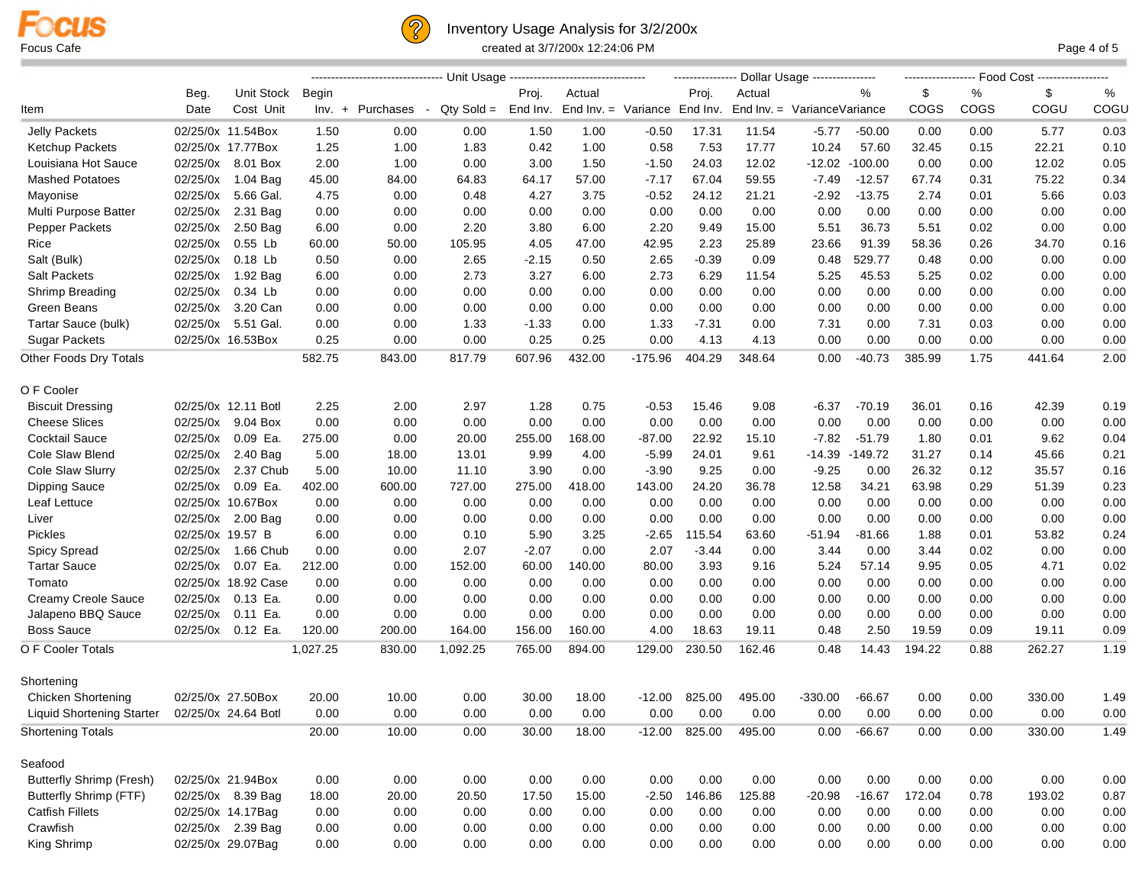



### Inventory Usage Analysis for 3/2/200x Focus Cafe created at 3/7/200x 12:24:06 PM Page 4 of 5

|                                  |                  |                      |          | -------------------------------- Unit Usage ----------------------------------- |                        |          |        |                              |         |        |                             |           | ----------------- Food Cost ----------------- |      |        |      |  |
|----------------------------------|------------------|----------------------|----------|---------------------------------------------------------------------------------|------------------------|----------|--------|------------------------------|---------|--------|-----------------------------|-----------|-----------------------------------------------|------|--------|------|--|
|                                  | Beg.             | Unit Stock           | Begin    |                                                                                 |                        | Proj.    | Actual |                              | Proj.   | Actual |                             | %         | \$                                            | %    | \$     | %    |  |
| Item                             | Date             | Cost Unit            |          | Inv. + Purchases                                                                | $Qty$ Sold =<br>$\sim$ | End Inv. |        | End Inv. = Variance End Inv. |         |        | End Inv. = VarianceVariance |           | COGS                                          | COGS | COGU   | COGU |  |
| <b>Jelly Packets</b>             |                  | 02/25/0x 11.54Box    | 1.50     | 0.00                                                                            | 0.00                   | 1.50     | 1.00   | -0.50                        | 17.31   | 11.54  | $-5.77$                     | $-50.00$  | 0.00                                          | 0.00 | 5.77   | 0.03 |  |
| Ketchup Packets                  |                  | 02/25/0x 17.77Box    | 1.25     | 1.00                                                                            | 1.83                   | 0.42     | 1.00   | 0.58                         | 7.53    | 17.77  | 10.24                       | 57.60     | 32.45                                         | 0.15 | 22.21  | 0.10 |  |
| Louisiana Hot Sauce              | 02/25/0x         | 8.01 Box             | 2.00     | 1.00                                                                            | 0.00                   | 3.00     | 1.50   | $-1.50$                      | 24.03   | 12.02  | $-12.02 - 100.00$           |           | 0.00                                          | 0.00 | 12.02  | 0.05 |  |
| <b>Mashed Potatoes</b>           | 02/25/0x         | 1.04 Bag             | 45.00    | 84.00                                                                           | 64.83                  | 64.17    | 57.00  | $-7.17$                      | 67.04   | 59.55  | $-7.49$                     | $-12.57$  | 67.74                                         | 0.31 | 75.22  | 0.34 |  |
| Mayonise                         | 02/25/0x         | 5.66 Gal.            | 4.75     | 0.00                                                                            | 0.48                   | 4.27     | 3.75   | $-0.52$                      | 24.12   | 21.21  | $-2.92$                     | $-13.75$  | 2.74                                          | 0.01 | 5.66   | 0.03 |  |
| Multi Purpose Batter             | 02/25/0x         | 2.31 Bag             | 0.00     | 0.00                                                                            | 0.00                   | 0.00     | 0.00   | 0.00                         | 0.00    | 0.00   | 0.00                        | 0.00      | 0.00                                          | 0.00 | 0.00   | 0.00 |  |
| Pepper Packets                   | 02/25/0x         | 2.50 Bag             | 6.00     | 0.00                                                                            | 2.20                   | 3.80     | 6.00   | 2.20                         | 9.49    | 15.00  | 5.51                        | 36.73     | 5.51                                          | 0.02 | 0.00   | 0.00 |  |
| Rice                             | 02/25/0x         | 0.55 Lb              | 60.00    | 50.00                                                                           | 105.95                 | 4.05     | 47.00  | 42.95                        | 2.23    | 25.89  | 23.66                       | 91.39     | 58.36                                         | 0.26 | 34.70  | 0.16 |  |
| Salt (Bulk)                      | 02/25/0x         | 0.18 Lb              | 0.50     | 0.00                                                                            | 2.65                   | $-2.15$  | 0.50   | 2.65                         | $-0.39$ | 0.09   | 0.48                        | 529.77    | 0.48                                          | 0.00 | 0.00   | 0.00 |  |
| <b>Salt Packets</b>              | 02/25/0x         | 1.92 Bag             | 6.00     | 0.00                                                                            | 2.73                   | 3.27     | 6.00   | 2.73                         | 6.29    | 11.54  | 5.25                        | 45.53     | 5.25                                          | 0.02 | 0.00   | 0.00 |  |
| Shrimp Breading                  | 02/25/0x         | 0.34 Lb              | 0.00     | 0.00                                                                            | 0.00                   | 0.00     | 0.00   | 0.00                         | 0.00    | 0.00   | 0.00                        | 0.00      | 0.00                                          | 0.00 | 0.00   | 0.00 |  |
| Green Beans                      | 02/25/0x         | 3.20 Can             | 0.00     | 0.00                                                                            | 0.00                   | 0.00     | 0.00   | 0.00                         | 0.00    | 0.00   | 0.00                        | 0.00      | 0.00                                          | 0.00 | 0.00   | 0.00 |  |
| Tartar Sauce (bulk)              |                  | 02/25/0x 5.51 Gal.   | 0.00     | 0.00                                                                            | 1.33                   | $-1.33$  | 0.00   | 1.33                         | $-7.31$ | 0.00   | 7.31                        | 0.00      | 7.31                                          | 0.03 | 0.00   | 0.00 |  |
| <b>Sugar Packets</b>             |                  | 02/25/0x 16.53Box    | 0.25     | 0.00                                                                            | 0.00                   | 0.25     | 0.25   | 0.00                         | 4.13    | 4.13   | 0.00                        | 0.00      | 0.00                                          | 0.00 | 0.00   | 0.00 |  |
| Other Foods Dry Totals           |                  |                      | 582.75   | 843.00                                                                          | 817.79                 | 607.96   | 432.00 | $-175.96$                    | 404.29  | 348.64 | 0.00                        | $-40.73$  | 385.99                                        | 1.75 | 441.64 | 2.00 |  |
| O F Cooler                       |                  |                      |          |                                                                                 |                        |          |        |                              |         |        |                             |           |                                               |      |        |      |  |
| <b>Biscuit Dressing</b>          |                  | 02/25/0x 12.11 Botl  | 2.25     | 2.00                                                                            | 2.97                   | 1.28     | 0.75   | $-0.53$                      | 15.46   | 9.08   | $-6.37$                     | $-70.19$  | 36.01                                         | 0.16 | 42.39  | 0.19 |  |
| <b>Cheese Slices</b>             | 02/25/0x         | 9.04 Box             | 0.00     | 0.00                                                                            | 0.00                   | 0.00     | 0.00   | 0.00                         | 0.00    | 0.00   | 0.00                        | 0.00      | 0.00                                          | 0.00 | 0.00   | 0.00 |  |
| Cocktail Sauce                   | 02/25/0x         | 0.09 Ea.             | 275.00   | 0.00                                                                            | 20.00                  | 255.00   | 168.00 | $-87.00$                     | 22.92   | 15.10  | $-7.82$                     | $-51.79$  | 1.80                                          | 0.01 | 9.62   | 0.04 |  |
| Cole Slaw Blend                  | 02/25/0x         | 2.40 Bag             | 5.00     | 18.00                                                                           | 13.01                  | 9.99     | 4.00   | $-5.99$                      | 24.01   | 9.61   | $-14.39$                    | $-149.72$ | 31.27                                         | 0.14 | 45.66  | 0.21 |  |
| Cole Slaw Slurry                 | 02/25/0x         | 2.37 Chub            | 5.00     | 10.00                                                                           | 11.10                  | 3.90     | 0.00   | $-3.90$                      | 9.25    | 0.00   | $-9.25$                     | 0.00      | 26.32                                         | 0.12 | 35.57  | 0.16 |  |
| Dipping Sauce                    | 02/25/0x         | 0.09 Ea.             | 402.00   | 600.00                                                                          | 727.00                 | 275.00   | 418.00 | 143.00                       | 24.20   | 36.78  | 12.58                       | 34.21     | 63.98                                         | 0.29 | 51.39  | 0.23 |  |
| Leaf Lettuce                     |                  | 02/25/0x 10.67Box    | 0.00     | 0.00                                                                            | 0.00                   | 0.00     | 0.00   | 0.00                         | 0.00    | 0.00   | 0.00                        | 0.00      | 0.00                                          | 0.00 | 0.00   | 0.00 |  |
| Liver                            |                  | 02/25/0x 2.00 Bag    | 0.00     | 0.00                                                                            | 0.00                   | 0.00     | 0.00   | 0.00                         | 0.00    | 0.00   | 0.00                        | 0.00      | 0.00                                          | 0.00 | 0.00   | 0.00 |  |
| <b>Pickles</b>                   | 02/25/0x 19.57 B |                      | 6.00     | 0.00                                                                            | 0.10                   | 5.90     | 3.25   | -2.65                        | 115.54  | 63.60  | $-51.94$                    | -81.66    | 1.88                                          | 0.01 | 53.82  | 0.24 |  |
| Spicy Spread                     |                  | 02/25/0x 1.66 Chub   | 0.00     | 0.00                                                                            | 2.07                   | $-2.07$  | 0.00   | 2.07                         | $-3.44$ | 0.00   | 3.44                        | 0.00      | 3.44                                          | 0.02 | 0.00   | 0.00 |  |
| <b>Tartar Sauce</b>              | 02/25/0x         | 0.07 Ea.             | 212.00   | 0.00                                                                            | 152.00                 |          |        |                              | 3.93    |        | 5.24                        | 57.14     | 9.95                                          | 0.05 | 4.71   | 0.02 |  |
|                                  |                  |                      |          |                                                                                 |                        | 60.00    | 140.00 | 80.00                        |         | 9.16   |                             |           |                                               |      |        |      |  |
| Tomato                           |                  | 02/25/0x 18.92 Case  | 0.00     | 0.00                                                                            | 0.00                   | 0.00     | 0.00   | 0.00                         | 0.00    | 0.00   | 0.00                        | 0.00      | 0.00                                          | 0.00 | 0.00   | 0.00 |  |
| Creamy Creole Sauce              | 02/25/0x         | 0.13 Ea.<br>0.11 Ea. | 0.00     | 0.00                                                                            | 0.00                   | 0.00     | 0.00   | 0.00                         | 0.00    | 0.00   | 0.00                        | 0.00      | 0.00                                          | 0.00 | 0.00   | 0.00 |  |
| Jalapeno BBQ Sauce               | 02/25/0x         |                      | 0.00     | 0.00                                                                            | 0.00                   | 0.00     | 0.00   | 0.00                         | 0.00    | 0.00   | 0.00                        | 0.00      | 0.00                                          | 0.00 | 0.00   | 0.00 |  |
| <b>Boss Sauce</b>                | 02/25/0x         | 0.12 Ea.             | 120.00   | 200.00                                                                          | 164.00                 | 156.00   | 160.00 | 4.00                         | 18.63   | 19.11  | 0.48                        | 2.50      | 19.59                                         | 0.09 | 19.11  | 0.09 |  |
| O F Cooler Totals                |                  |                      | 1,027.25 | 830.00                                                                          | 1,092.25               | 765.00   | 894.00 | 129.00                       | 230.50  | 162.46 | 0.48                        | 14.43     | 194.22                                        | 0.88 | 262.27 | 1.19 |  |
| Shortening                       |                  |                      |          |                                                                                 |                        |          |        |                              |         |        |                             |           |                                               |      |        |      |  |
| Chicken Shortening               |                  | 02/25/0x 27.50Box    | 20.00    | 10.00                                                                           | 0.00                   | 30.00    | 18.00  | -12.00                       | 825.00  | 495.00 | $-330.00$                   | -66.67    | 0.00                                          | 0.00 | 330.00 | 1.49 |  |
| <b>Liquid Shortening Starter</b> |                  | 02/25/0x 24.64 Botl  | 0.00     | 0.00                                                                            | 0.00                   | 0.00     | 0.00   | 0.00                         | 0.00    | 0.00   | 0.00                        | 0.00      | 0.00                                          | 0.00 | 0.00   | 0.00 |  |
| <b>Shortening Totals</b>         |                  |                      | 20.00    | 10.00                                                                           | 0.00                   | 30.00    | 18.00  | $-12.00$                     | 825.00  | 495.00 | 0.00                        | $-66.67$  | 0.00                                          | 0.00 | 330.00 | 1.49 |  |
| Seafood                          |                  |                      |          |                                                                                 |                        |          |        |                              |         |        |                             |           |                                               |      |        |      |  |
| <b>Butterfly Shrimp (Fresh)</b>  |                  | 02/25/0x 21.94Box    | 0.00     | 0.00                                                                            | 0.00                   | 0.00     | 0.00   | 0.00                         | 0.00    | 0.00   | 0.00                        | 0.00      | 0.00                                          | 0.00 | 0.00   | 0.00 |  |
| <b>Butterfly Shrimp (FTF)</b>    |                  | 02/25/0x 8.39 Bag    | 18.00    | 20.00                                                                           | 20.50                  | 17.50    | 15.00  | $-2.50$                      | 146.86  | 125.88 | $-20.98$                    | $-16.67$  | 172.04                                        | 0.78 | 193.02 | 0.87 |  |
| <b>Catfish Fillets</b>           |                  | 02/25/0x 14.17Bag    | 0.00     | 0.00                                                                            | 0.00                   | 0.00     | 0.00   | 0.00                         | 0.00    | 0.00   | 0.00                        | 0.00      | 0.00                                          | 0.00 | 0.00   | 0.00 |  |
| Crawfish                         |                  | 02/25/0x 2.39 Bag    | 0.00     | 0.00                                                                            | 0.00                   | 0.00     | 0.00   | 0.00                         | 0.00    | 0.00   | 0.00                        | 0.00      | 0.00                                          | 0.00 | 0.00   | 0.00 |  |
| King Shrimp                      |                  | 02/25/0x 29.07Bag    | 0.00     | 0.00                                                                            | 0.00                   | 0.00     | 0.00   | 0.00                         | 0.00    | 0.00   | 0.00                        | 0.00      | 0.00                                          | 0.00 | 0.00   | 0.00 |  |